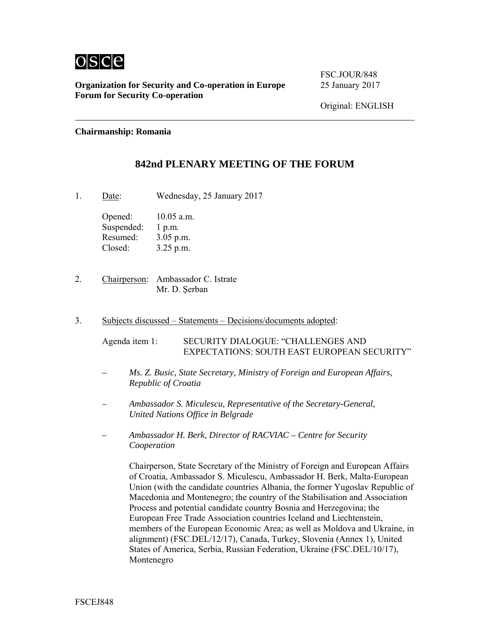

**Organization for Security and Co-operation in Europe** 25 January 2017 **Forum for Security Co-operation** 

FSC.JOUR/848

Original: ENGLISH

**Chairmanship: Romania** 

## **842nd PLENARY MEETING OF THE FORUM**

1. Date: Wednesday, 25 January 2017

Opened: 10.05 a.m. Suspended: 1 p.m. Resumed: 3.05 p.m. Closed: 3.25 p.m.

2. Chairperson: Ambassador C. Istrate Mr. D. Şerban

3. Subjects discussed – Statements – Decisions/documents adopted:

Agenda item 1: SECURITY DIALOGUE: "CHALLENGES AND EXPECTATIONS: SOUTH EAST EUROPEAN SECURITY"

- *Ms. Z. Busic, State Secretary, Ministry of Foreign and European Affairs, Republic of Croatia*
- *Ambassador S. Miculescu, Representative of the Secretary-General, United Nations Office in Belgrade*
- *Ambassador H. Berk, Director of RACVIAC Centre for Security Cooperation*

Chairperson, State Secretary of the Ministry of Foreign and European Affairs of Croatia, Ambassador S. Miculescu, Ambassador H. Berk, Malta-European Union (with the candidate countries Albania, the former Yugoslav Republic of Macedonia and Montenegro; the country of the Stabilisation and Association Process and potential candidate country Bosnia and Herzegovina; the European Free Trade Association countries Iceland and Liechtenstein, members of the European Economic Area; as well as Moldova and Ukraine, in alignment) (FSC.DEL/12/17), Canada, Turkey, Slovenia (Annex 1), United States of America, Serbia, Russian Federation, Ukraine (FSC.DEL/10/17), Montenegro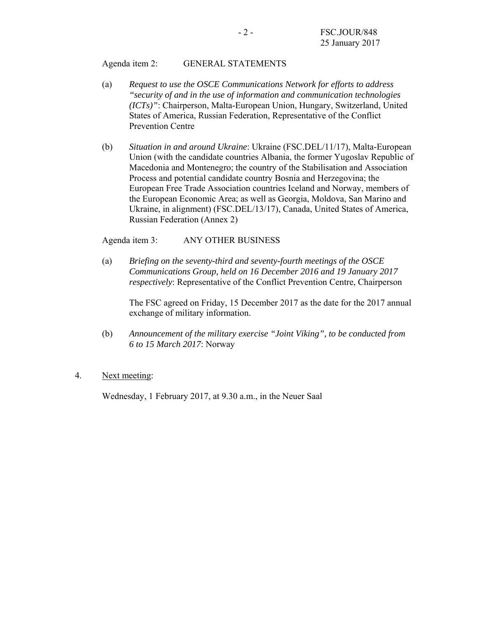#### Agenda item 2: GENERAL STATEMENTS

- (a) *Request to use the OSCE Communications Network for efforts to address "security of and in the use of information and communication technologies (ICTs)"*: Chairperson, Malta-European Union, Hungary, Switzerland, United States of America, Russian Federation, Representative of the Conflict Prevention Centre
- (b) *Situation in and around Ukraine*: Ukraine (FSC.DEL/11/17), Malta-European Union (with the candidate countries Albania, the former Yugoslav Republic of Macedonia and Montenegro; the country of the Stabilisation and Association Process and potential candidate country Bosnia and Herzegovina; the European Free Trade Association countries Iceland and Norway, members of the European Economic Area; as well as Georgia, Moldova, San Marino and Ukraine, in alignment) (FSC.DEL/13/17), Canada, United States of America, Russian Federation (Annex 2)

Agenda item 3: ANY OTHER BUSINESS

(a) *Briefing on the seventy-third and seventy-fourth meetings of the OSCE Communications Group, held on 16 December 2016 and 19 January 2017 respectively*: Representative of the Conflict Prevention Centre, Chairperson

The FSC agreed on Friday, 15 December 2017 as the date for the 2017 annual exchange of military information.

(b) *Announcement of the military exercise "Joint Viking", to be conducted from 6 to 15 March 2017*: Norway

### 4. Next meeting:

Wednesday, 1 February 2017, at 9.30 a.m., in the Neuer Saal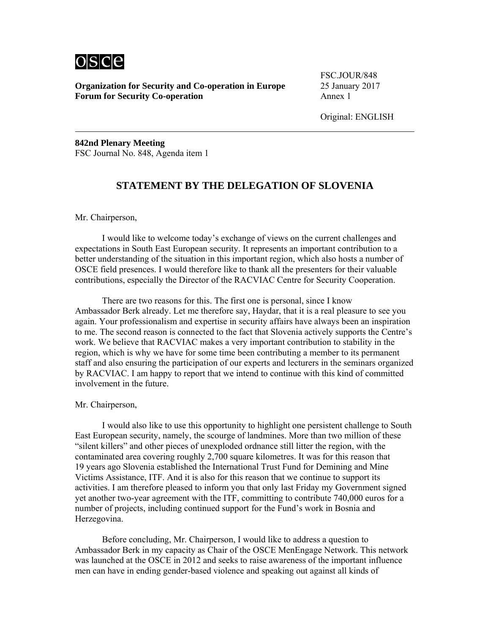# osce

**Organization for Security and Co-operation in Europe** 25 January 2017 **Forum for Security Co-operation** Annex 1

FSC.JOUR/848

Original: ENGLISH

**842nd Plenary Meeting**  FSC Journal No. 848, Agenda item 1

## **STATEMENT BY THE DELEGATION OF SLOVENIA**

Mr. Chairperson,

 I would like to welcome today's exchange of views on the current challenges and expectations in South East European security. It represents an important contribution to a better understanding of the situation in this important region, which also hosts a number of OSCE field presences. I would therefore like to thank all the presenters for their valuable contributions, especially the Director of the RACVIAC Centre for Security Cooperation.

 There are two reasons for this. The first one is personal, since I know Ambassador Berk already. Let me therefore say, Haydar, that it is a real pleasure to see you again. Your professionalism and expertise in security affairs have always been an inspiration to me. The second reason is connected to the fact that Slovenia actively supports the Centre's work. We believe that RACVIAC makes a very important contribution to stability in the region, which is why we have for some time been contributing a member to its permanent staff and also ensuring the participation of our experts and lecturers in the seminars organized by RACVIAC. I am happy to report that we intend to continue with this kind of committed involvement in the future.

Mr. Chairperson,

 I would also like to use this opportunity to highlight one persistent challenge to South East European security, namely, the scourge of landmines. More than two million of these "silent killers" and other pieces of unexploded ordnance still litter the region, with the contaminated area covering roughly 2,700 square kilometres. It was for this reason that 19 years ago Slovenia established the International Trust Fund for Demining and Mine Victims Assistance, ITF. And it is also for this reason that we continue to support its activities. I am therefore pleased to inform you that only last Friday my Government signed yet another two-year agreement with the ITF, committing to contribute 740,000 euros for a number of projects, including continued support for the Fund's work in Bosnia and Herzegovina.

 Before concluding, Mr. Chairperson, I would like to address a question to Ambassador Berk in my capacity as Chair of the OSCE MenEngage Network. This network was launched at the OSCE in 2012 and seeks to raise awareness of the important influence men can have in ending gender-based violence and speaking out against all kinds of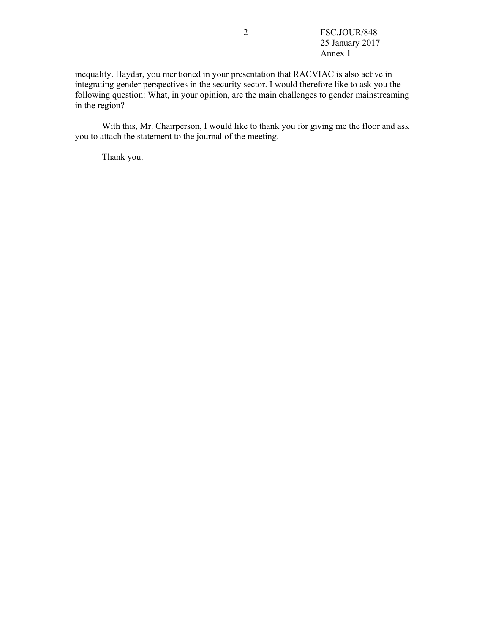inequality. Haydar, you mentioned in your presentation that RACVIAC is also active in integrating gender perspectives in the security sector. I would therefore like to ask you the following question: What, in your opinion, are the main challenges to gender mainstreaming in the region?

 With this, Mr. Chairperson, I would like to thank you for giving me the floor and ask you to attach the statement to the journal of the meeting.

Thank you.